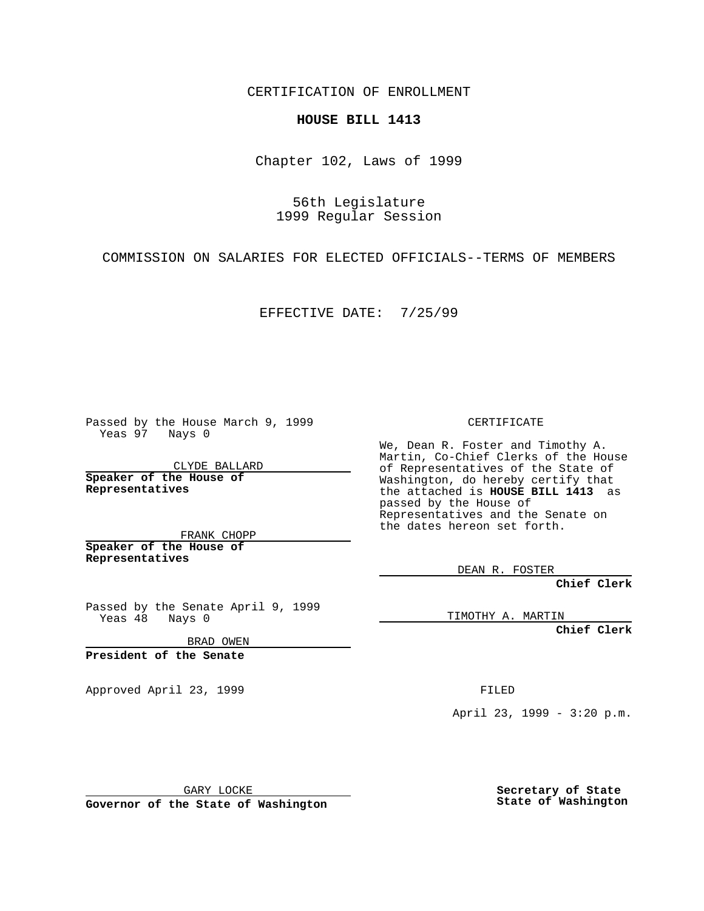CERTIFICATION OF ENROLLMENT

## **HOUSE BILL 1413**

Chapter 102, Laws of 1999

56th Legislature 1999 Regular Session

COMMISSION ON SALARIES FOR ELECTED OFFICIALS--TERMS OF MEMBERS

EFFECTIVE DATE: 7/25/99

Passed by the House March 9, 1999 Yeas 97 Nays 0

CLYDE BALLARD **Speaker of the House of Representatives**

FRANK CHOPP **Speaker of the House of Representatives**

Passed by the Senate April 9, 1999<br>Yeas 48 Nays 0  $Yeas 48$ 

BRAD OWEN

**President of the Senate**

Approved April 23, 1999 FILED

CERTIFICATE

We, Dean R. Foster and Timothy A. Martin, Co-Chief Clerks of the House of Representatives of the State of Washington, do hereby certify that the attached is **HOUSE BILL 1413** as passed by the House of Representatives and the Senate on the dates hereon set forth.

DEAN R. FOSTER

**Chief Clerk**

TIMOTHY A. MARTIN

**Chief Clerk**

April 23, 1999 - 3:20 p.m.

GARY LOCKE

**Governor of the State of Washington**

**Secretary of State State of Washington**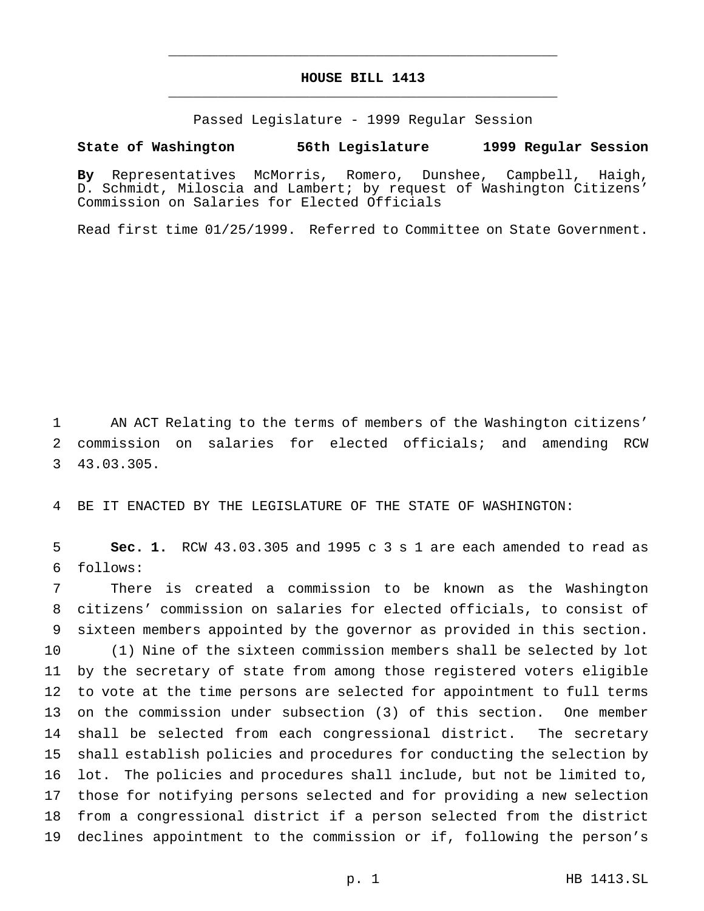## **HOUSE BILL 1413** \_\_\_\_\_\_\_\_\_\_\_\_\_\_\_\_\_\_\_\_\_\_\_\_\_\_\_\_\_\_\_\_\_\_\_\_\_\_\_\_\_\_\_\_\_\_\_

\_\_\_\_\_\_\_\_\_\_\_\_\_\_\_\_\_\_\_\_\_\_\_\_\_\_\_\_\_\_\_\_\_\_\_\_\_\_\_\_\_\_\_\_\_\_\_

Passed Legislature - 1999 Regular Session

## **State of Washington 56th Legislature 1999 Regular Session**

**By** Representatives McMorris, Romero, Dunshee, Campbell, Haigh, D. Schmidt, Miloscia and Lambert; by request of Washington Citizens' Commission on Salaries for Elected Officials

Read first time 01/25/1999. Referred to Committee on State Government.

 AN ACT Relating to the terms of members of the Washington citizens' commission on salaries for elected officials; and amending RCW 43.03.305.

BE IT ENACTED BY THE LEGISLATURE OF THE STATE OF WASHINGTON:

 **Sec. 1.** RCW 43.03.305 and 1995 c 3 s 1 are each amended to read as follows:

 There is created a commission to be known as the Washington citizens' commission on salaries for elected officials, to consist of sixteen members appointed by the governor as provided in this section. (1) Nine of the sixteen commission members shall be selected by lot by the secretary of state from among those registered voters eligible to vote at the time persons are selected for appointment to full terms on the commission under subsection (3) of this section. One member shall be selected from each congressional district. The secretary shall establish policies and procedures for conducting the selection by lot. The policies and procedures shall include, but not be limited to, those for notifying persons selected and for providing a new selection from a congressional district if a person selected from the district declines appointment to the commission or if, following the person's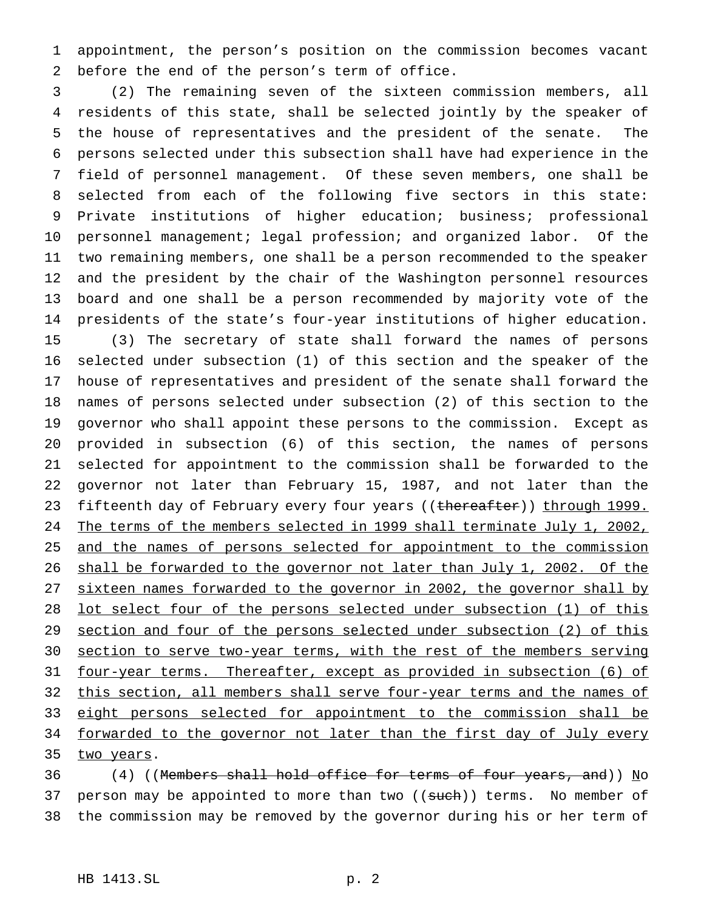appointment, the person's position on the commission becomes vacant before the end of the person's term of office.

 (2) The remaining seven of the sixteen commission members, all residents of this state, shall be selected jointly by the speaker of the house of representatives and the president of the senate. The persons selected under this subsection shall have had experience in the field of personnel management. Of these seven members, one shall be selected from each of the following five sectors in this state: Private institutions of higher education; business; professional personnel management; legal profession; and organized labor. Of the two remaining members, one shall be a person recommended to the speaker and the president by the chair of the Washington personnel resources board and one shall be a person recommended by majority vote of the presidents of the state's four-year institutions of higher education. (3) The secretary of state shall forward the names of persons selected under subsection (1) of this section and the speaker of the house of representatives and president of the senate shall forward the names of persons selected under subsection (2) of this section to the governor who shall appoint these persons to the commission. Except as provided in subsection (6) of this section, the names of persons selected for appointment to the commission shall be forwarded to the governor not later than February 15, 1987, and not later than the 23 fifteenth day of February every four years ((thereafter)) through 1999. 24 The terms of the members selected in 1999 shall terminate July 1, 2002, 25 and the names of persons selected for appointment to the commission shall be forwarded to the governor not later than July 1, 2002. Of the 27 sixteen names forwarded to the governor in 2002, the governor shall by lot select four of the persons selected under subsection (1) of this section and four of the persons selected under subsection (2) of this section to serve two-year terms, with the rest of the members serving four-year terms. Thereafter, except as provided in subsection (6) of 32 this section, all members shall serve four-year terms and the names of 33 eight persons selected for appointment to the commission shall be 34 forwarded to the governor not later than the first day of July every 35 two years.

36 (4) ((Members shall hold office for terms of four years, and)) No 37 person may be appointed to more than two ((such)) terms. No member of the commission may be removed by the governor during his or her term of